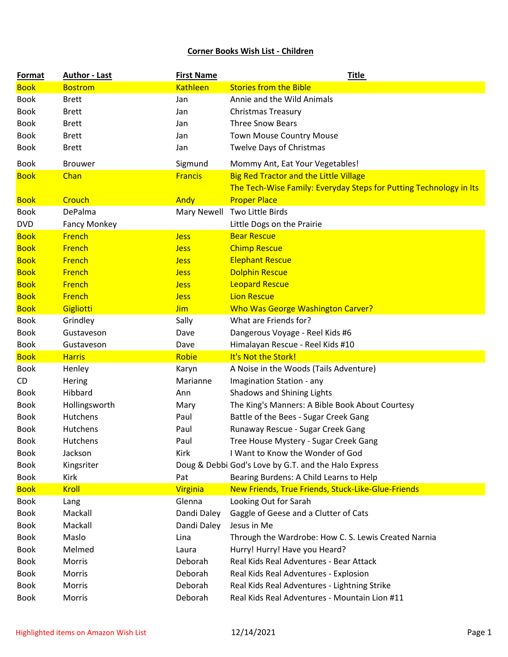## **Corner Books Wish List - Children**

| <b>Format</b> | <b>Author - Last</b> | <b>First Name</b> | <u>Title</u>                                                       |
|---------------|----------------------|-------------------|--------------------------------------------------------------------|
| <b>Book</b>   | <b>Bostrom</b>       | <b>Kathleen</b>   | <b>Stories from the Bible</b>                                      |
| <b>Book</b>   | <b>Brett</b>         | Jan               | Annie and the Wild Animals                                         |
| <b>Book</b>   | <b>Brett</b>         | Jan               | <b>Christmas Treasury</b>                                          |
| <b>Book</b>   | <b>Brett</b>         | Jan               | <b>Three Snow Bears</b>                                            |
| <b>Book</b>   | <b>Brett</b>         | Jan               | <b>Town Mouse Country Mouse</b>                                    |
| <b>Book</b>   | <b>Brett</b>         | Jan               | <b>Twelve Days of Christmas</b>                                    |
| <b>Book</b>   | <b>Brouwer</b>       | Sigmund           | Mommy Ant, Eat Your Vegetables!                                    |
| <b>Book</b>   | Chan                 | <b>Francis</b>    | <b>Big Red Tractor and the Little Village</b>                      |
|               |                      |                   | The Tech-Wise Family: Everyday Steps for Putting Technology in Its |
| <b>Book</b>   | Crouch               | Andy              | <b>Proper Place</b>                                                |
| <b>Book</b>   | DePalma              | Mary Newell       | Two Little Birds                                                   |
| <b>DVD</b>    | <b>Fancy Monkey</b>  |                   | Little Dogs on the Prairie                                         |
| <b>Book</b>   | French               | <b>Jess</b>       | <b>Bear Rescue</b>                                                 |
| <b>Book</b>   | <b>French</b>        | <b>Jess</b>       | <b>Chimp Rescue</b>                                                |
| <b>Book</b>   | French               | <b>Jess</b>       | <b>Elephant Rescue</b>                                             |
| <b>Book</b>   | <b>French</b>        | <b>Jess</b>       | <b>Dolphin Rescue</b>                                              |
| <b>Book</b>   | <b>French</b>        | <b>Jess</b>       | <b>Leopard Rescue</b>                                              |
| <b>Book</b>   | <b>French</b>        | <b>Jess</b>       | <b>Lion Rescue</b>                                                 |
| <b>Book</b>   | Gigliotti            | <b>Jim</b>        | <b>Who Was George Washington Carver?</b>                           |
| <b>Book</b>   | Grindley             | Sally             | What are Friends for?                                              |
| <b>Book</b>   | Gustaveson           | Dave              | Dangerous Voyage - Reel Kids #6                                    |
| <b>Book</b>   | Gustaveson           | Dave              | Himalayan Rescue - Reel Kids #10                                   |
| <b>Book</b>   | <b>Harris</b>        | Robie             | It's Not the Stork!                                                |
| <b>Book</b>   | Henley               | Karyn             | A Noise in the Woods (Tails Adventure)                             |
| CD            | Hering               | Marianne          | Imagination Station - any                                          |
| <b>Book</b>   | Hibbard              | Ann               | Shadows and Shining Lights                                         |
| <b>Book</b>   | Hollingsworth        | Mary              | The King's Manners: A Bible Book About Courtesy                    |
| <b>Book</b>   | Hutchens             | Paul              | Battle of the Bees - Sugar Creek Gang                              |
| <b>Book</b>   | Hutchens             | Paul              | Runaway Rescue - Sugar Creek Gang                                  |
| <b>Book</b>   | Hutchens             | Paul              | Tree House Mystery - Sugar Creek Gang                              |
| <b>Book</b>   | Jackson              | Kirk              | I Want to Know the Wonder of God                                   |
| <b>Book</b>   | Kingsriter           |                   | Doug & Debbi God's Love by G.T. and the Halo Express               |
| <b>Book</b>   | Kirk                 | Pat               | Bearing Burdens: A Child Learns to Help                            |
| <b>Book</b>   | <b>Kroll</b>         | <b>Virginia</b>   | New Friends, True Friends, Stuck-Like-Glue-Friends                 |
| <b>Book</b>   | Lang                 | Glenna            | Looking Out for Sarah                                              |
| <b>Book</b>   | Mackall              | Dandi Daley       | Gaggle of Geese and a Clutter of Cats                              |
| <b>Book</b>   | Mackall              | Dandi Daley       | Jesus in Me                                                        |
| <b>Book</b>   | Maslo                | Lina              | Through the Wardrobe: How C. S. Lewis Created Narnia               |
| <b>Book</b>   | Melmed               | Laura             | Hurry! Hurry! Have you Heard?                                      |
| <b>Book</b>   | Morris               | Deborah           | Real Kids Real Adventures - Bear Attack                            |
| <b>Book</b>   | Morris               | Deborah           | Real Kids Real Adventures - Explosion                              |
| <b>Book</b>   | Morris               | Deborah           | Real Kids Real Adventures - Lightning Strike                       |
| <b>Book</b>   | Morris               | Deborah           | Real Kids Real Adventures - Mountain Lion #11                      |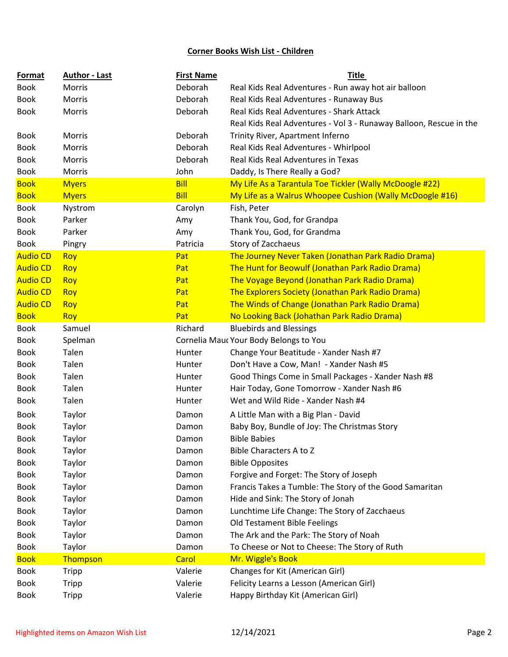## **Corner Books Wish List - Children**

| Format          | <b>Author - Last</b> | <b>First Name</b> | <b>Title</b>                                                       |
|-----------------|----------------------|-------------------|--------------------------------------------------------------------|
| <b>Book</b>     | <b>Morris</b>        | Deborah           | Real Kids Real Adventures - Run away hot air balloon               |
| <b>Book</b>     | Morris               | Deborah           | Real Kids Real Adventures - Runaway Bus                            |
| <b>Book</b>     | Morris               | Deborah           | Real Kids Real Adventures - Shark Attack                           |
|                 |                      |                   | Real Kids Real Adventures - Vol 3 - Runaway Balloon, Rescue in the |
| <b>Book</b>     | Morris               | Deborah           | Trinity River, Apartment Inferno                                   |
| <b>Book</b>     | Morris               | Deborah           | Real Kids Real Adventures - Whirlpool                              |
| <b>Book</b>     | Morris               | Deborah           | Real Kids Real Adventures in Texas                                 |
| <b>Book</b>     | Morris               | John              | Daddy, Is There Really a God?                                      |
| <b>Book</b>     | <b>Myers</b>         | <b>Bill</b>       | My Life As a Tarantula Toe Tickler (Wally McDoogle #22)            |
| <b>Book</b>     | <b>Myers</b>         | <b>Bill</b>       | My Life as a Walrus Whoopee Cushion (Wally McDoogle #16)           |
| <b>Book</b>     | Nystrom              | Carolyn           | Fish, Peter                                                        |
| <b>Book</b>     | Parker               | Amy               | Thank You, God, for Grandpa                                        |
| <b>Book</b>     | Parker               | Amy               | Thank You, God, for Grandma                                        |
| <b>Book</b>     | Pingry               | Patricia          | Story of Zacchaeus                                                 |
| <b>Audio CD</b> | <b>Roy</b>           | Pat               | The Journey Never Taken (Jonathan Park Radio Drama)                |
| <b>Audio CD</b> | <b>Roy</b>           | Pat               | The Hunt for Beowulf (Jonathan Park Radio Drama)                   |
| <b>Audio CD</b> | <b>Roy</b>           | Pat               | The Voyage Beyond (Jonathan Park Radio Drama)                      |
| <b>Audio CD</b> | Roy                  | Pat               | The Explorers Society (Jonathan Park Radio Drama)                  |
| <b>Audio CD</b> | <b>Roy</b>           | Pat               | The Winds of Change (Jonathan Park Radio Drama)                    |
| <b>Book</b>     | <b>Roy</b>           | Pat               | No Looking Back (Johathan Park Radio Drama)                        |
| <b>Book</b>     | Samuel               | Richard           | <b>Bluebirds and Blessings</b>                                     |
| <b>Book</b>     | Spelman              |                   | Cornelia Mauc Your Body Belongs to You                             |
| <b>Book</b>     | Talen                | Hunter            | Change Your Beatitude - Xander Nash #7                             |
| <b>Book</b>     | Talen                | Hunter            | Don't Have a Cow, Man! - Xander Nash #5                            |
| <b>Book</b>     | Talen                | Hunter            | Good Things Come in Small Packages - Xander Nash #8                |
| <b>Book</b>     | Talen                | Hunter            | Hair Today, Gone Tomorrow - Xander Nash #6                         |
| <b>Book</b>     | Talen                | Hunter            | Wet and Wild Ride - Xander Nash #4                                 |
| Book            | Taylor               | Damon             | A Little Man with a Big Plan - David                               |
| <b>Book</b>     | Taylor               | Damon             | Baby Boy, Bundle of Joy: The Christmas Story                       |
| <b>Book</b>     | Taylor               | Damon             | <b>Bible Babies</b>                                                |
| <b>Book</b>     | Taylor               | Damon             | Bible Characters A to Z                                            |
| <b>Book</b>     | Taylor               | Damon             | <b>Bible Opposites</b>                                             |
| <b>Book</b>     | Taylor               | Damon             | Forgive and Forget: The Story of Joseph                            |
| <b>Book</b>     | Taylor               | Damon             | Francis Takes a Tumble: The Story of the Good Samaritan            |
| <b>Book</b>     | Taylor               | Damon             | Hide and Sink: The Story of Jonah                                  |
| <b>Book</b>     | Taylor               | Damon             | Lunchtime Life Change: The Story of Zacchaeus                      |
| <b>Book</b>     | Taylor               | Damon             | Old Testament Bible Feelings                                       |
| <b>Book</b>     | Taylor               | Damon             | The Ark and the Park: The Story of Noah                            |
| <b>Book</b>     | Taylor               | Damon             | To Cheese or Not to Cheese: The Story of Ruth                      |
| <b>Book</b>     | Thompson             | Carol             | Mr. Wiggle's Book                                                  |
| <b>Book</b>     | Tripp                | Valerie           | Changes for Kit (American Girl)                                    |
| <b>Book</b>     | Tripp                | Valerie           | Felicity Learns a Lesson (American Girl)                           |
| <b>Book</b>     | Tripp                | Valerie           | Happy Birthday Kit (American Girl)                                 |